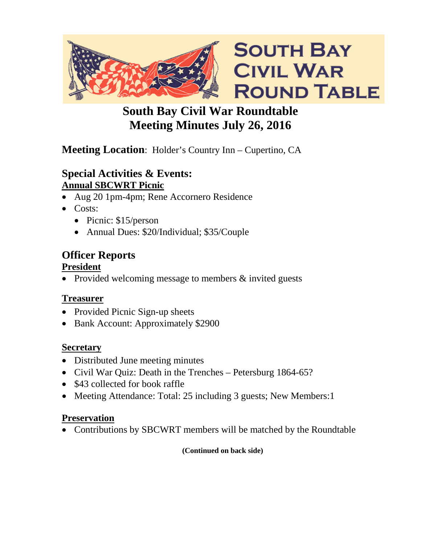

# **South Bay Civil War Roundtable Meeting Minutes July 26, 2016**

# **Meeting Location**: Holder's Country Inn – Cupertino, CA

### **Special Activities & Events: Annual SBCWRT Picnic**

- Aug 20 1pm-4pm; Rene Accornero Residence
- Costs:
	- Picnic: \$15/person
	- Annual Dues: \$20/Individual; \$35/Couple

# **Officer Reports**

### **President**

• Provided welcoming message to members & invited guests

## **Treasurer**

- Provided Picnic Sign-up sheets
- Bank Account: Approximately \$2900

## **Secretary**

- Distributed June meeting minutes
- Civil War Quiz: Death in the Trenches Petersburg 1864-65?
- \$43 collected for book raffle
- Meeting Attendance: Total: 25 including 3 guests; New Members: 1

## **Preservation**

• Contributions by SBCWRT members will be matched by the Roundtable

#### **(Continued on back side)**